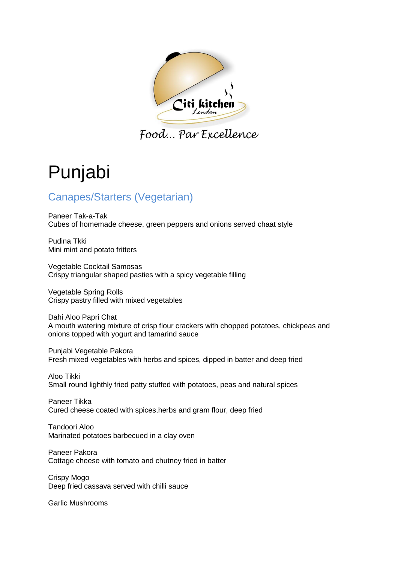

Food... Par Excellence

# Punjabi

# Canapes/Starters (Vegetarian)

Paneer Tak-a-Tak Cubes of homemade cheese, green peppers and onions served chaat style

Pudina Tkki Mini mint and potato fritters

Vegetable Cocktail Samosas Crispy triangular shaped pasties with a spicy vegetable filling

Vegetable Spring Rolls Crispy pastry filled with mixed vegetables

Dahi Aloo Papri Chat A mouth watering mixture of crisp flour crackers with chopped potatoes, chickpeas and onions topped with yogurt and tamarind sauce

Punjabi Vegetable Pakora Fresh mixed vegetables with herbs and spices, dipped in batter and deep fried

Aloo Tikki Small round lighthly fried patty stuffed with potatoes, peas and natural spices

Paneer Tikka Cured cheese coated with spices,herbs and gram flour, deep fried

Tandoori Aloo Marinated potatoes barbecued in a clay oven

Paneer Pakora Cottage cheese with tomato and chutney fried in batter

Crispy Mogo Deep fried cassava served with chilli sauce

Garlic Mushrooms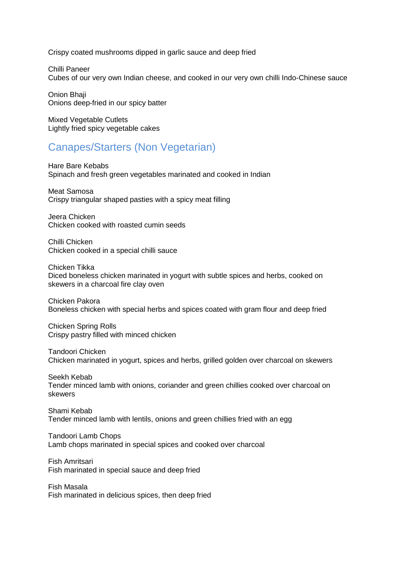Crispy coated mushrooms dipped in garlic sauce and deep fried

Chilli Paneer Cubes of our very own Indian cheese, and cooked in our very own chilli Indo-Chinese sauce

Onion Bhaji Onions deep-fried in our spicy batter

Mixed Vegetable Cutlets Lightly fried spicy vegetable cakes

#### Canapes/Starters (Non Vegetarian)

Hare Bare Kebabs Spinach and fresh green vegetables marinated and cooked in Indian

Meat Samosa Crispy triangular shaped pasties with a spicy meat filling

Jeera Chicken Chicken cooked with roasted cumin seeds

Chilli Chicken Chicken cooked in a special chilli sauce

Chicken Tikka Diced boneless chicken marinated in yogurt with subtle spices and herbs, cooked on skewers in a charcoal fire clay oven

Chicken Pakora Boneless chicken with special herbs and spices coated with gram flour and deep fried

Chicken Spring Rolls Crispy pastry filled with minced chicken

Tandoori Chicken Chicken marinated in yogurt, spices and herbs, grilled golden over charcoal on skewers

Seekh Kebab Tender minced lamb with onions, coriander and green chillies cooked over charcoal on skewers

Shami Kebab Tender minced lamb with lentils, onions and green chillies fried with an egg

Tandoori Lamb Chops Lamb chops marinated in special spices and cooked over charcoal

Fish Amritsari Fish marinated in special sauce and deep fried

Fish Masala Fish marinated in delicious spices, then deep fried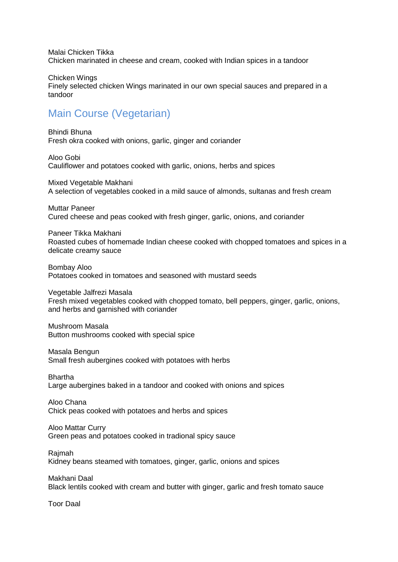Malai Chicken Tikka Chicken marinated in cheese and cream, cooked with Indian spices in a tandoor

Chicken Wings Finely selected chicken Wings marinated in our own special sauces and prepared in a tandoor

## Main Course (Vegetarian)

Bhindi Bhuna Fresh okra cooked with onions, garlic, ginger and coriander

Aloo Gobi Cauliflower and potatoes cooked with garlic, onions, herbs and spices

Mixed Vegetable Makhani A selection of vegetables cooked in a mild sauce of almonds, sultanas and fresh cream

Muttar Paneer Cured cheese and peas cooked with fresh ginger, garlic, onions, and coriander

Paneer Tikka Makhani Roasted cubes of homemade Indian cheese cooked with chopped tomatoes and spices in a delicate creamy sauce

Bombay Aloo Potatoes cooked in tomatoes and seasoned with mustard seeds

Vegetable Jalfrezi Masala Fresh mixed vegetables cooked with chopped tomato, bell peppers, ginger, garlic, onions, and herbs and garnished with coriander

Mushroom Masala Button mushrooms cooked with special spice

Masala Bengun Small fresh aubergines cooked with potatoes with herbs

Bhartha Large aubergines baked in a tandoor and cooked with onions and spices

Aloo Chana Chick peas cooked with potatoes and herbs and spices

Aloo Mattar Curry Green peas and potatoes cooked in tradional spicy sauce

Rajmah

Kidney beans steamed with tomatoes, ginger, garlic, onions and spices

Makhani Daal Black lentils cooked with cream and butter with ginger, garlic and fresh tomato sauce

Toor Daal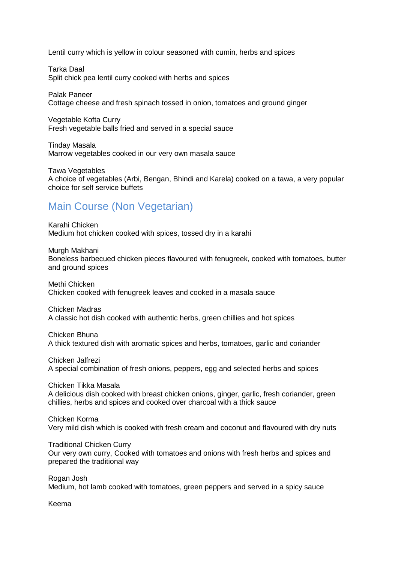Lentil curry which is yellow in colour seasoned with cumin, herbs and spices

Tarka Daal Split chick pea lentil curry cooked with herbs and spices

Palak Paneer Cottage cheese and fresh spinach tossed in onion, tomatoes and ground ginger

Vegetable Kofta Curry Fresh vegetable balls fried and served in a special sauce

Tinday Masala Marrow vegetables cooked in our very own masala sauce

Tawa Vegetables A choice of vegetables (Arbi, Bengan, Bhindi and Karela) cooked on a tawa, a very popular choice for self service buffets

### Main Course (Non Vegetarian)

Karahi Chicken Medium hot chicken cooked with spices, tossed dry in a karahi

Murgh Makhani

Boneless barbecued chicken pieces flavoured with fenugreek, cooked with tomatoes, butter and ground spices

Methi Chicken Chicken cooked with fenugreek leaves and cooked in a masala sauce

Chicken Madras A classic hot dish cooked with authentic herbs, green chillies and hot spices

Chicken Bhuna A thick textured dish with aromatic spices and herbs, tomatoes, garlic and coriander

Chicken Jalfrezi A special combination of fresh onions, peppers, egg and selected herbs and spices

Chicken Tikka Masala A delicious dish cooked with breast chicken onions, ginger, garlic, fresh coriander, green chillies, herbs and spices and cooked over charcoal with a thick sauce

Chicken Korma Very mild dish which is cooked with fresh cream and coconut and flavoured with dry nuts

Traditional Chicken Curry Our very own curry, Cooked with tomatoes and onions with fresh herbs and spices and prepared the traditional way

Rogan Josh Medium, hot lamb cooked with tomatoes, green peppers and served in a spicy sauce

Keema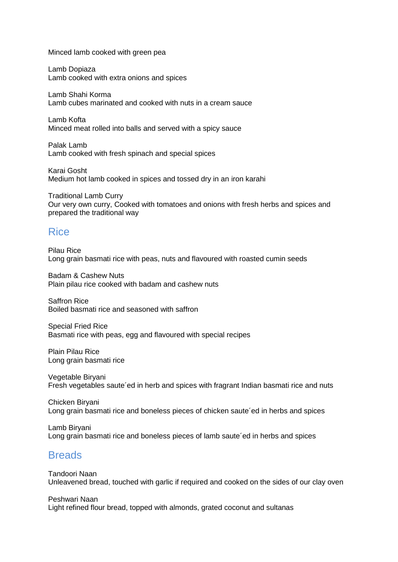Minced lamb cooked with green pea

Lamb Dopiaza Lamb cooked with extra onions and spices

Lamb Shahi Korma Lamb cubes marinated and cooked with nuts in a cream sauce

Lamb Kofta Minced meat rolled into balls and served with a spicy sauce

Palak Lamb Lamb cooked with fresh spinach and special spices

Karai Gosht Medium hot lamb cooked in spices and tossed dry in an iron karahi

Traditional Lamb Curry Our very own curry, Cooked with tomatoes and onions with fresh herbs and spices and prepared the traditional way

#### Rice

Pilau Rice Long grain basmati rice with peas, nuts and flavoured with roasted cumin seeds

Badam & Cashew Nuts Plain pilau rice cooked with badam and cashew nuts

Saffron Rice Boiled basmati rice and seasoned with saffron

Special Fried Rice Basmati rice with peas, egg and flavoured with special recipes

Plain Pilau Rice Long grain basmati rice

Vegetable Biryani Fresh vegetables saute´ed in herb and spices with fragrant Indian basmati rice and nuts

Chicken Biryani Long grain basmati rice and boneless pieces of chicken saute´ed in herbs and spices

Lamb Biryani Long grain basmati rice and boneless pieces of lamb saute´ed in herbs and spices

#### **Breads**

Tandoori Naan Unleavened bread, touched with garlic if required and cooked on the sides of our clay oven

Peshwari Naan Light refined flour bread, topped with almonds, grated coconut and sultanas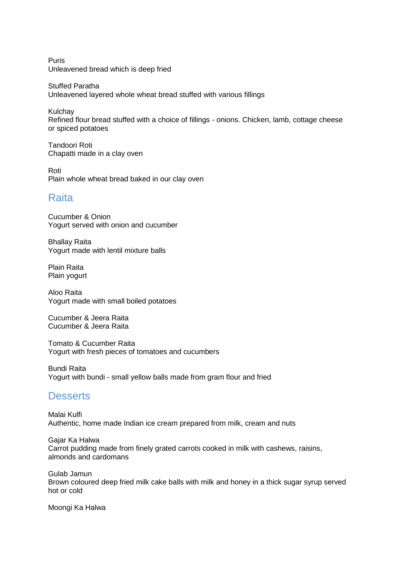Puris Unleavened bread which is deep fried

Stuffed Paratha Unleavened layered whole wheat bread stuffed with various fillings

**Kulchay** Refined flour bread stuffed with a choice of fillings - onions. Chicken, lamb, cottage cheese or spiced potatoes

Tandoori Roti Chapatti made in a clay oven

Roti Plain whole wheat bread baked in our clay oven

#### Raita

Cucumber & Onion Yogurt served with onion and cucumber

Bhallay Raita Yogurt made with lentil mixture balls

Plain Raita Plain yogurt

Aloo Raita Yogurt made with small boiled potatoes

Cucumber & Jeera Raita Cucumber & Jeera Raita

Tomato & Cucumber Raita Yogurt with fresh pieces of tomatoes and cucumbers

Bundi Raita Yogurt with bundi - small yellow balls made from gram flour and fried

#### **Desserts**

Malai Kulfi Authentic, home made Indian ice cream prepared from milk, cream and nuts

Gajar Ka Halwa Carrot pudding made from finely grated carrots cooked in milk with cashews, raisins, almonds and cardomans

Gulab Jamun Brown coloured deep fried milk cake balls with milk and honey in a thick sugar syrup served hot or cold

Moongi Ka Halwa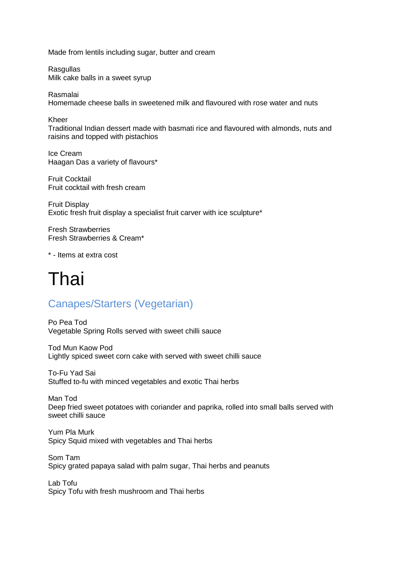Made from lentils including sugar, butter and cream

**Rasquilas** Milk cake balls in a sweet syrup

Rasmalai Homemade cheese balls in sweetened milk and flavoured with rose water and nuts

Kheer

Traditional Indian dessert made with basmati rice and flavoured with almonds, nuts and raisins and topped with pistachios

Ice Cream Haagan Das a variety of flavours\*

Fruit Cocktail Fruit cocktail with fresh cream

Fruit Display Exotic fresh fruit display a specialist fruit carver with ice sculpture\*

Fresh Strawberries Fresh Strawberries & Cream\*

\* - Items at extra cost

# Thai

## Canapes/Starters (Vegetarian)

Po Pea Tod Vegetable Spring Rolls served with sweet chilli sauce

Tod Mun Kaow Pod Lightly spiced sweet corn cake with served with sweet chilli sauce

To-Fu Yad Sai Stuffed to-fu with minced vegetables and exotic Thai herbs

Man Tod Deep fried sweet potatoes with coriander and paprika, rolled into small balls served with sweet chilli sauce

Yum Pla Murk Spicy Squid mixed with vegetables and Thai herbs

Som Tam Spicy grated papaya salad with palm sugar, Thai herbs and peanuts

Lab Tofu Spicy Tofu with fresh mushroom and Thai herbs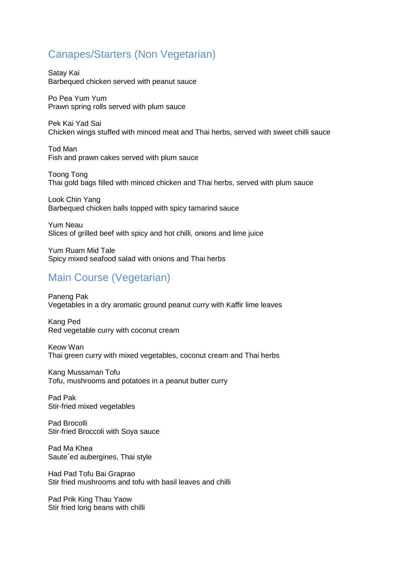### Canapes/Starters (Non Vegetarian)

Satay Kai Barbequed chicken served with peanut sauce

Po Pea Yum Yum Prawn spring rolls served with plum sauce

Pek Kai Yad Sai Chicken wings stuffed with minced meat and Thai herbs, served with sweet chilli sauce

Tod Man Fish and prawn cakes served with plum sauce

Toong Tong Thai gold bags filled with minced chicken and Thai herbs, served with plum sauce

Look Chin Yang Barbequed chicken balls topped with spicy tamarind sauce

Yum Neau Slices of grilled beef with spicy and hot chilli, onions and lime juice

Yum Ruam Mid Tale Spicy mixed seafood salad with onions and Thai herbs

#### Main Course (Vegetarian)

Paneng Pak Vegetables in a dry aromatic ground peanut curry with Kaffir lime leaves

Kang Ped Red vegetable curry with coconut cream

Keow Wan Thai green curry with mixed vegetables, coconut cream and Thai herbs

Kang Mussaman Tofu Tofu, mushrooms and potatoes in a peanut butter curry

Pad Pak Stir-fried mixed vegetables

Pad Brocolli Stir-fried Broccoli with Soya sauce

Pad Ma Khea Saute´ed aubergines, Thai style

Had Pad Tofu Bai Graprao Stir fried mushrooms and tofu with basil leaves and chilli

Pad Prik King Thau Yaow Stir fried long beans with chilli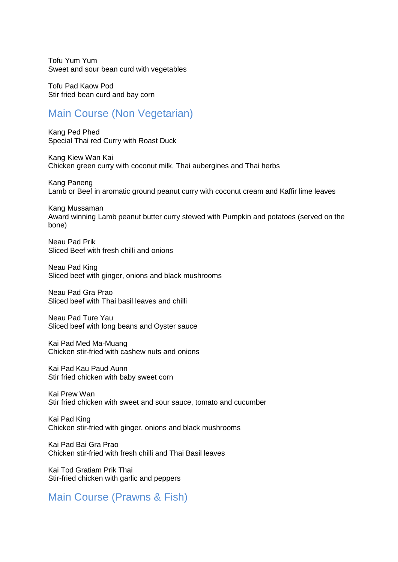Tofu Yum Yum Sweet and sour bean curd with vegetables

Tofu Pad Kaow Pod Stir fried bean curd and bay corn

#### Main Course (Non Vegetarian)

Kang Ped Phed Special Thai red Curry with Roast Duck

Kang Kiew Wan Kai Chicken green curry with coconut milk, Thai aubergines and Thai herbs

Kang Paneng Lamb or Beef in aromatic ground peanut curry with coconut cream and Kaffir lime leaves

Kang Mussaman Award winning Lamb peanut butter curry stewed with Pumpkin and potatoes (served on the bone)

Neau Pad Prik Sliced Beef with fresh chilli and onions

Neau Pad King Sliced beef with ginger, onions and black mushrooms

Neau Pad Gra Prao Sliced beef with Thai basil leaves and chilli

Neau Pad Ture Yau Sliced beef with long beans and Oyster sauce

Kai Pad Med Ma-Muang Chicken stir-fried with cashew nuts and onions

Kai Pad Kau Paud Aunn Stir fried chicken with baby sweet corn

Kai Prew Wan Stir fried chicken with sweet and sour sauce, tomato and cucumber

Kai Pad King Chicken stir-fried with ginger, onions and black mushrooms

Kai Pad Bai Gra Prao Chicken stir-fried with fresh chilli and Thai Basil leaves

Kai Tod Gratiam Prik Thai Stir-fried chicken with garlic and peppers

Main Course (Prawns & Fish)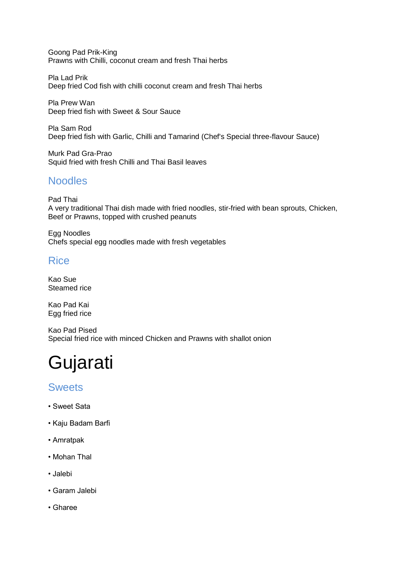Goong Pad Prik-King Prawns with Chilli, coconut cream and fresh Thai herbs

Pla Lad Prik Deep fried Cod fish with chilli coconut cream and fresh Thai herbs

Pla Prew Wan Deep fried fish with Sweet & Sour Sauce

Pla Sam Rod Deep fried fish with Garlic, Chilli and Tamarind (Chef's Special three-flavour Sauce)

Murk Pad Gra-Prao Squid fried with fresh Chilli and Thai Basil leaves

### **Noodles**

Pad Thai A very traditional Thai dish made with fried noodles, stir-fried with bean sprouts, Chicken, Beef or Prawns, topped with crushed peanuts

Egg Noodles Chefs special egg noodles made with fresh vegetables

#### Rice

Kao Sue Steamed rice

Kao Pad Kai Egg fried rice

Kao Pad Pised Special fried rice with minced Chicken and Prawns with shallot onion

# Gujarati

#### **Sweets**

- Sweet Sata
- Kaju Badam Barfi
- Amratpak
- Mohan Thal
- Jalebi
- Garam Jalebi
- Gharee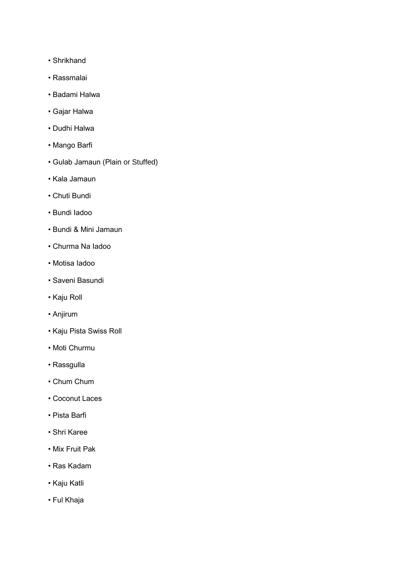- Shrikhand
- Rassmalai
- Badami Halwa
- Gajar Halwa
- Dudhi Halwa
- Mango Barfi
- Gulab Jamaun (Plain or Stuffed)
- Kala Jamaun
- Chuti Bundi
- Bundi Iadoo
- Bundi & Mini Jamaun
- Churma Na Iadoo
- Motisa Iadoo
- Saveni Basundi
- Kaju Roll
- Anjirum
- Kaju Pista Swiss Roll
- Moti Churmu
- Rassgulla
- Chum Chum
- Coconut Laces
- Pista Barfi
- Shri Karee
- Mix Fruit Pak
- Ras Kadam
- Kaju Katli
- Ful Khaja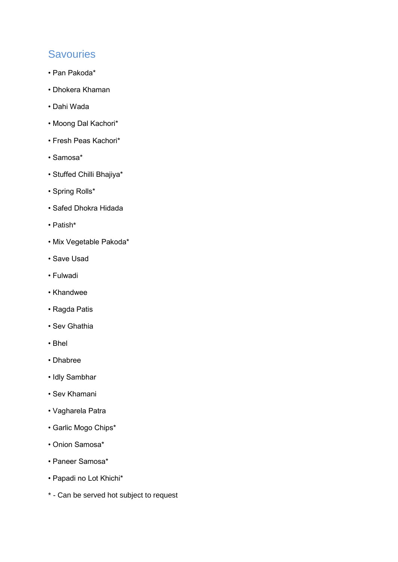### **Savouries**

- Pan Pakoda\*
- Dhokera Khaman
- Dahi Wada
- Moong Dal Kachori\*
- Fresh Peas Kachori\*
- Samosa\*
- Stuffed Chilli Bhajiya\*
- Spring Rolls\*
- Safed Dhokra Hidada
- Patish\*
- Mix Vegetable Pakoda\*
- Save Usad
- Fulwadi
- Khandwee
- Ragda Patis
- Sev Ghathia
- Bhel
- Dhabree
- Idly Sambhar
- Sev Khamani
- Vagharela Patra
- Garlic Mogo Chips\*
- Onion Samosa\*
- Paneer Samosa\*
- Papadi no Lot Khichi\*
- \* Can be served hot subject to request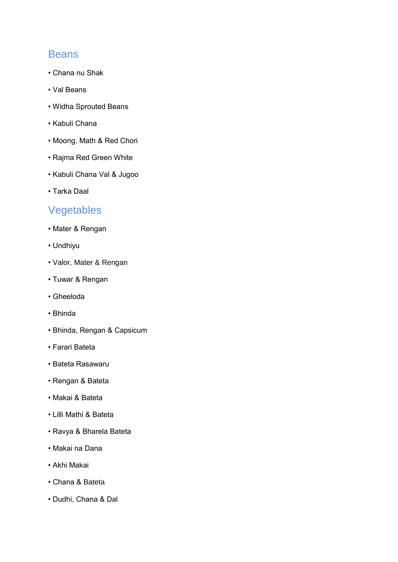#### **Beans**

- Chana nu Shak
- Val Beans
- Widha Sprouted Beans
- Kabuli Chana
- Moong, Math & Red Chori
- Rajma Red Green White
- Kabuli Chana Val & Jugoo
- Tarka Daal

## Vegetables

- Mater & Rengan
- Undhiyu
- Valor, Mater & Rengan
- Tuwar & Rengan
- Gheeloda
- Bhinda
- Bhinda, Rengan & Capsicum
- Farari Bateta
- Bateta Rasawaru
- Rengan & Bateta
- Makai & Bateta
- Lilli Mathi & Bateta
- Ravya & Bharela Bateta
- Makai na Dana
- Akhi Makai
- Chana & Bateta
- Dudhi, Chana & Dal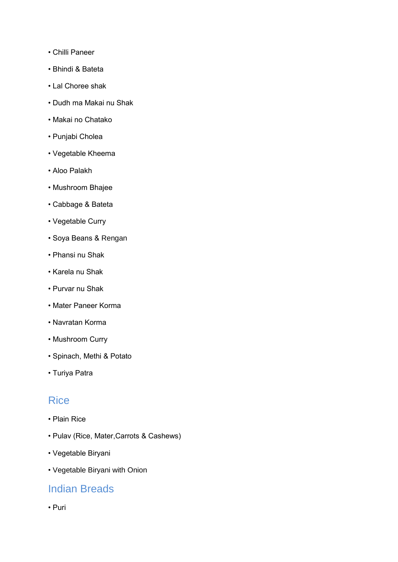- Chilli Paneer
- Bhindi & Bateta
- Lal Choree shak
- Dudh ma Makai nu Shak
- Makai no Chatako
- Punjabi Cholea
- Vegetable Kheema
- Aloo Palakh
- Mushroom Bhajee
- Cabbage & Bateta
- Vegetable Curry
- Soya Beans & Rengan
- Phansi nu Shak
- Karela nu Shak
- Purvar nu Shak
- Mater Paneer Korma
- Navratan Korma
- Mushroom Curry
- Spinach, Methi & Potato
- Turiya Patra

#### **Rice**

- Plain Rice
- Pulav (Rice, Mater,Carrots & Cashews)
- Vegetable Biryani
- Vegetable Biryani with Onion

#### Indian Breads

• Puri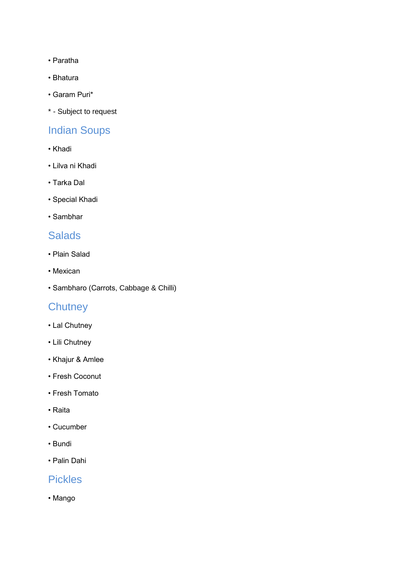- Paratha
- Bhatura
- Garam Puri\*
- \* Subject to request

## Indian Soups

- Khadi
- Lilva ni Khadi
- Tarka Dal
- Special Khadi
- Sambhar

#### **Salads**

- Plain Salad
- Mexican
- Sambharo (Carrots, Cabbage & Chilli)

## **Chutney**

- Lal Chutney
- Lili Chutney
- Khajur & Amlee
- Fresh Coconut
- Fresh Tomato
- Raita
- Cucumber
- Bundi
- Palin Dahi

#### Pickles

• Mango